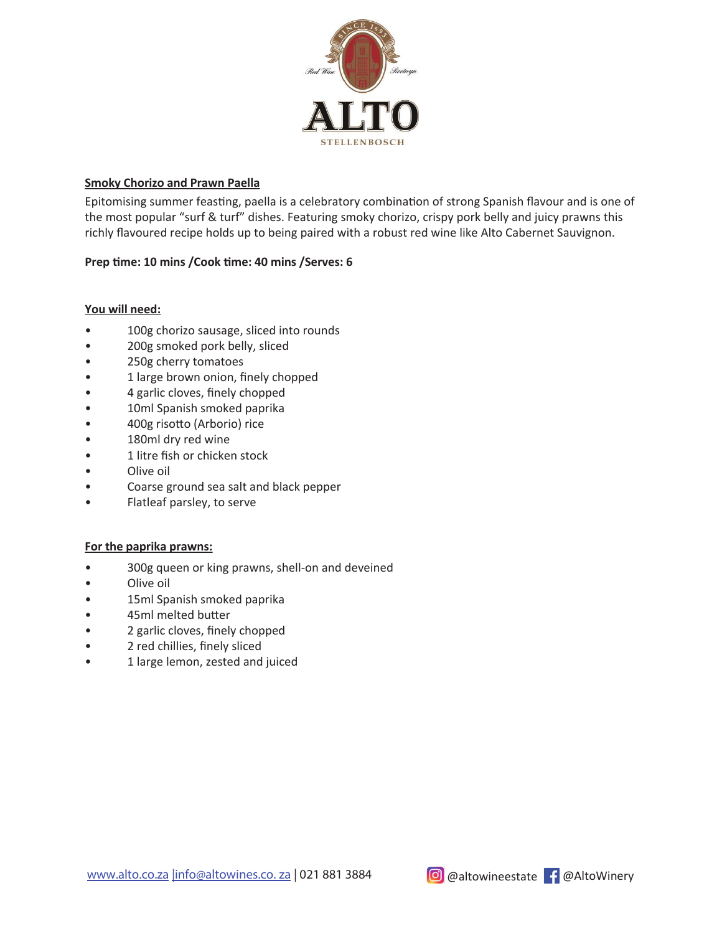

## **Smoky Chorizo and Prawn Paella**

Epitomising summer feasting, paella is a celebratory combination of strong Spanish flavour and is one of the most popular "surf & turf" dishes. Featuring smoky chorizo, crispy pork belly and juicy prawns this richly flavoured recipe holds up to being paired with a robust red wine like Alto Cabernet Sauvignon.

# Prep time: 10 mins /Cook time: 40 mins /Serves: 6

### **You will need:**

- 100g chorizo sausage, sliced into rounds
- 200g smoked pork belly, sliced
- 250g cherry tomatoes
- 1 large brown onion, finely chopped
- 4 garlic cloves, finely chopped
- 10ml Spanish smoked paprika
- 400g risotto (Arborio) rice
- 180ml dry red wine
- 1 litre fish or chicken stock
- Olive oil
- Coarse ground sea salt and black pepper
- Flatleaf parsley, to serve

### **For the paprika prawns:**

- 300g queen or king prawns, shell-on and deveined
- Olive oil
- 15ml Spanish smoked paprika
- 45ml melted butter
- 2 garlic cloves, finely chopped
- 2 red chillies, finely sliced
- 1 large lemon, zested and juiced